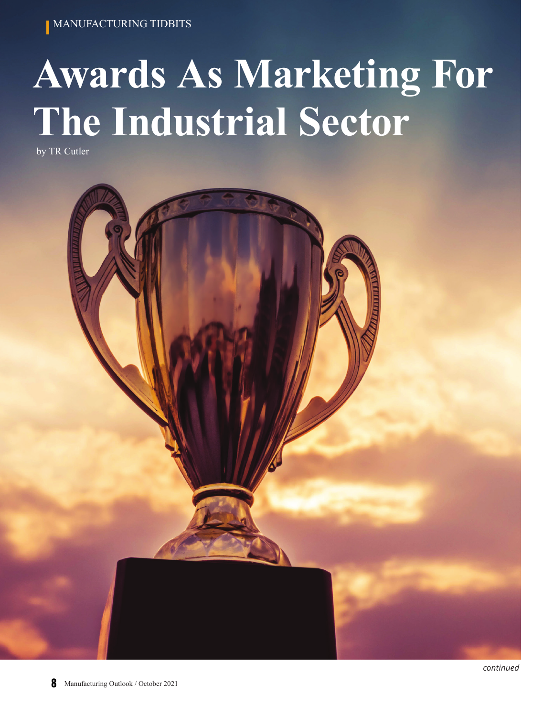**MANUFACTURING TIDBITS** 

# **Awards As Marketing For The Industrial Sector**

by TR Cutler